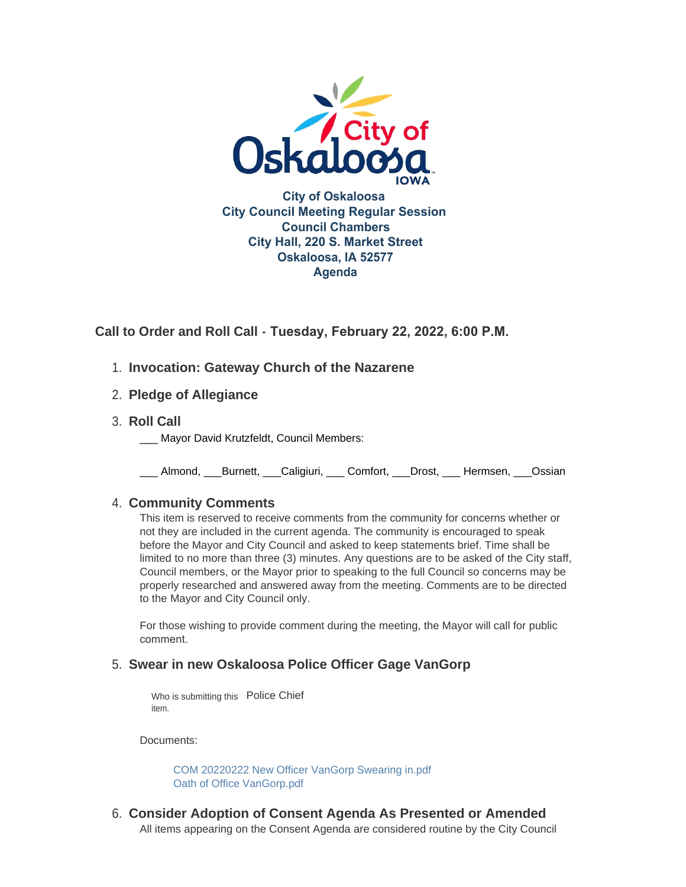

**Call to Order and Roll Call - Tuesday, February 22, 2022, 6:00 P.M.** 

- **Invocation: Gateway Church of the Nazarene** 1.
- **Pledge of Allegiance** 2.
- **Roll Call** 3.
	- Mayor David Krutzfeldt, Council Members:

\_\_\_ Almond, \_\_\_Burnett, \_\_\_Caligiuri, \_\_\_ Comfort, \_\_\_Drost, \_\_\_ Hermsen, \_\_\_Ossian

## **Community Comments** 4.

This item is reserved to receive comments from the community for concerns whether or not they are included in the current agenda. The community is encouraged to speak before the Mayor and City Council and asked to keep statements brief. Time shall be limited to no more than three (3) minutes. Any questions are to be asked of the City staff, Council members, or the Mayor prior to speaking to the full Council so concerns may be properly researched and answered away from the meeting. Comments are to be directed to the Mayor and City Council only.

For those wishing to provide comment during the meeting, the Mayor will call for public comment.

### **Swear in new Oskaloosa Police Officer Gage VanGorp** 5.

Who is submitting this Police Chief item.

Documents:

[COM 20220222 New Officer VanGorp Swearing in.pdf](https://www.oskaloosaiowa.org/AgendaCenter/ViewFile/Item/9884?fileID=26108) [Oath of Office VanGorp.pdf](https://www.oskaloosaiowa.org/AgendaCenter/ViewFile/Item/9884?fileID=26109)

**Consider Adoption of Consent Agenda As Presented or Amended** 6. All items appearing on the Consent Agenda are considered routine by the City Council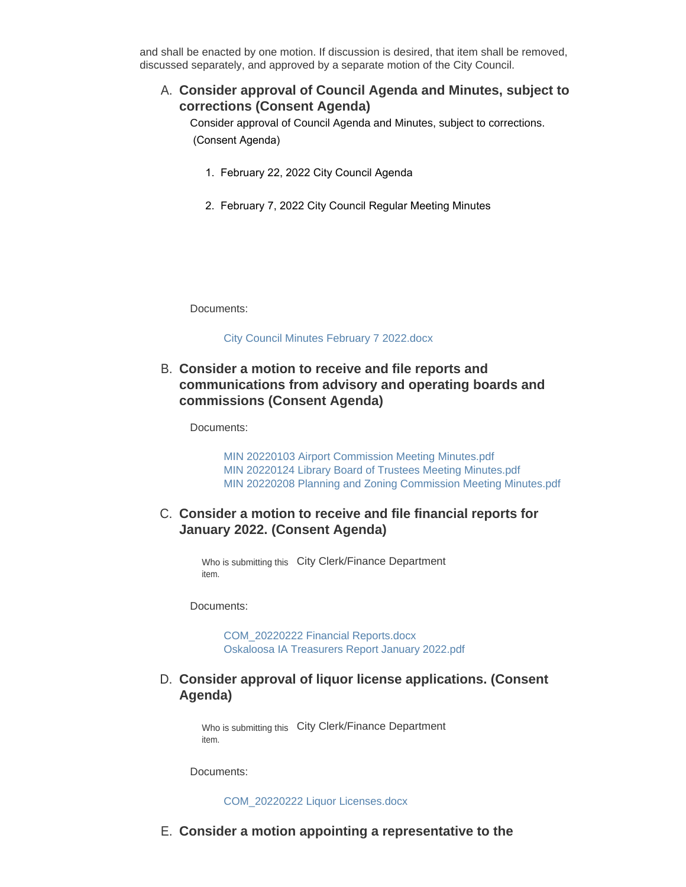and shall be enacted by one motion. If discussion is desired, that item shall be removed, discussed separately, and approved by a separate motion of the City Council.

**Consider approval of Council Agenda and Minutes, subject to**  A. **corrections (Consent Agenda)** 

Consider approval of Council Agenda and Minutes, subject to corrections. (Consent Agenda)

- 1. February 22, 2022 City Council Agenda
- 2. February 7, 2022 City Council Regular Meeting Minutes

Documents:

[City Council Minutes February 7 2022.docx](https://www.oskaloosaiowa.org/AgendaCenter/ViewFile/Item/9906?fileID=26124)

### **Consider a motion to receive and file reports and**  B. **communications from advisory and operating boards and commissions (Consent Agenda)**

Documents:

[MIN 20220103 Airport Commission Meeting Minutes.pdf](https://www.oskaloosaiowa.org/AgendaCenter/ViewFile/Item/9907?fileID=26125) [MIN 20220124 Library Board of Trustees Meeting Minutes.pdf](https://www.oskaloosaiowa.org/AgendaCenter/ViewFile/Item/9907?fileID=26126) [MIN 20220208 Planning and Zoning Commission Meeting Minutes.pdf](https://www.oskaloosaiowa.org/AgendaCenter/ViewFile/Item/9907?fileID=26127)

### C. Consider a motion to receive and file financial reports for **January 2022. (Consent Agenda)**

Who is submitting this City Clerk/Finance Department item.

Documents:

[COM\\_20220222 Financial Reports.docx](https://www.oskaloosaiowa.org/AgendaCenter/ViewFile/Item/9888?fileID=26094) [Oskaloosa IA Treasurers Report January 2022.pdf](https://www.oskaloosaiowa.org/AgendaCenter/ViewFile/Item/9888?fileID=26095)

### **Consider approval of liquor license applications. (Consent**  D. **Agenda)**

Who is submitting this City Clerk/Finance Department item.

Documents:

#### [COM\\_20220222 Liquor Licenses.docx](https://www.oskaloosaiowa.org/AgendaCenter/ViewFile/Item/9889?fileID=26120)

**Consider a motion appointing a representative to the**  E.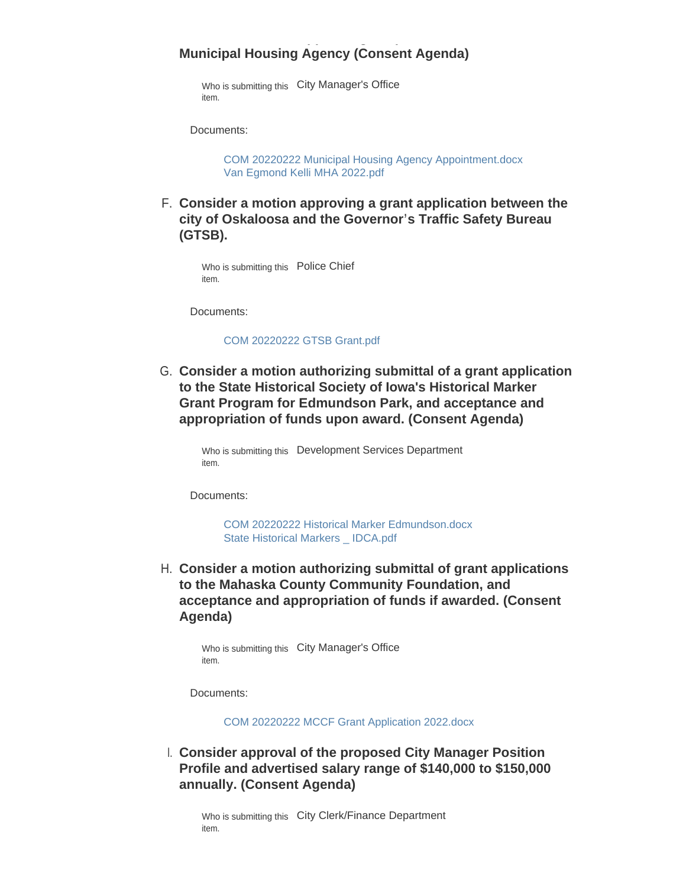# **Municipal Housing Agency (Consent Agenda)**

**Consider a motion appointing a representative to the** 

Who is submitting this City Manager's Office item.

Documents:

[COM 20220222 Municipal Housing Agency Appointment.docx](https://www.oskaloosaiowa.org/AgendaCenter/ViewFile/Item/9892?fileID=26105) [Van Egmond Kelli MHA 2022.pdf](https://www.oskaloosaiowa.org/AgendaCenter/ViewFile/Item/9892?fileID=26092)

**Consider a motion approving a grant application between the**  F. **city of Oskaloosa and the Governor's Traffic Safety Bureau (GTSB).** 

Who is submitting this Police Chief item.

Documents:

[COM 20220222 GTSB Grant.pdf](https://www.oskaloosaiowa.org/AgendaCenter/ViewFile/Item/9880?fileID=26102)

**Consider a motion authorizing submittal of a grant application**  G. **to the State Historical Society of Iowa's Historical Marker Grant Program for Edmundson Park, and acceptance and appropriation of funds upon award. (Consent Agenda)**

Who is submitting this Development Services Department item.

Documents:

[COM 20220222 Historical Marker Edmundson.docx](https://www.oskaloosaiowa.org/AgendaCenter/ViewFile/Item/9898?fileID=26139) [State Historical Markers \\_ IDCA.pdf](https://www.oskaloosaiowa.org/AgendaCenter/ViewFile/Item/9898?fileID=26118)

**Consider a motion authorizing submittal of grant applications**  H. **to the Mahaska County Community Foundation, and acceptance and appropriation of funds if awarded. (Consent Agenda)**

Who is submitting this City Manager's Office item.

Documents:

[COM 20220222 MCCF Grant Application 2022.docx](https://www.oskaloosaiowa.org/AgendaCenter/ViewFile/Item/9900?fileID=26119)

**Consider approval of the proposed City Manager Position**  I. **Profile and advertised salary range of \$140,000 to \$150,000 annually. (Consent Agenda)**

Who is submitting this City Clerk/Finance Department item.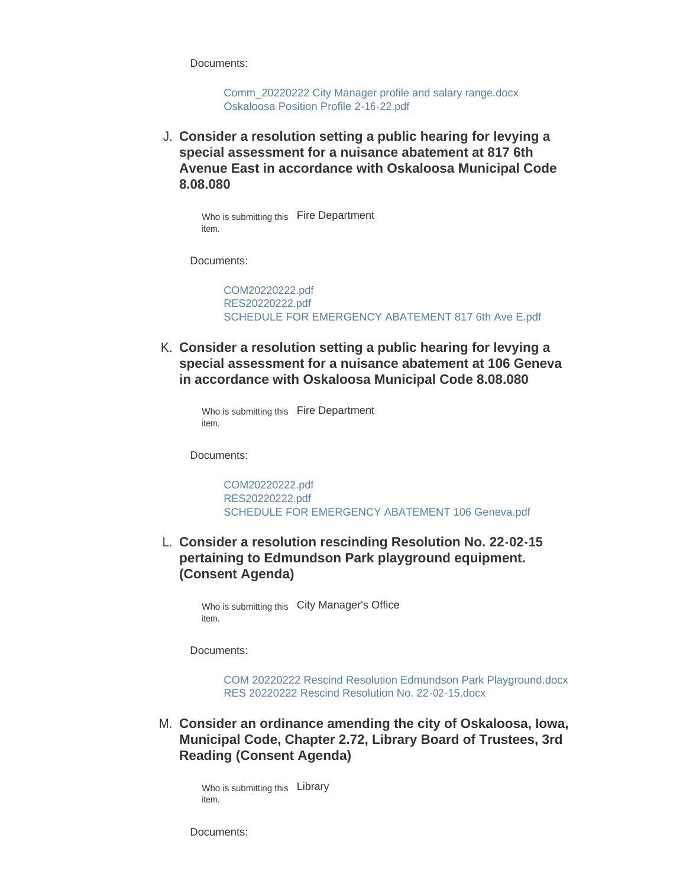Documents:

[Comm\\_20220222 City Manager profile and salary range.docx](https://www.oskaloosaiowa.org/AgendaCenter/ViewFile/Item/9887?fileID=26137) [Oskaloosa Position Profile 2-16-22.pdf](https://www.oskaloosaiowa.org/AgendaCenter/ViewFile/Item/9887?fileID=26149)

**Consider a resolution setting a public hearing for levying a**  J. **special assessment for a nuisance abatement at 817 6th Avenue East in accordance with Oskaloosa Municipal Code 8.08.080**

Who is submitting this Fire Department item.

Documents:

[COM20220222.pdf](https://www.oskaloosaiowa.org/AgendaCenter/ViewFile/Item/9913?fileID=26132) [RES20220222.pdf](https://www.oskaloosaiowa.org/AgendaCenter/ViewFile/Item/9913?fileID=26129) [SCHEDULE FOR EMERGENCY ABATEMENT 817 6th Ave E.pdf](https://www.oskaloosaiowa.org/AgendaCenter/ViewFile/Item/9913?fileID=26130)

**Consider a resolution setting a public hearing for levying a**  K. **special assessment for a nuisance abatement at 106 Geneva in accordance with Oskaloosa Municipal Code 8.08.080**

Who is submitting this Fire Department item.

Documents:

[COM20220222.pdf](https://www.oskaloosaiowa.org/AgendaCenter/ViewFile/Item/9891?fileID=26089) [RES20220222.pdf](https://www.oskaloosaiowa.org/AgendaCenter/ViewFile/Item/9891?fileID=26138) [SCHEDULE FOR EMERGENCY ABATEMENT 106 Geneva.pdf](https://www.oskaloosaiowa.org/AgendaCenter/ViewFile/Item/9891?fileID=26131)

**Consider a resolution rescinding Resolution No. 22-02-15**  L. **pertaining to Edmundson Park playground equipment. (Consent Agenda)**

Who is submitting this City Manager's Office item.

Documents:

[COM 20220222 Rescind Resolution Edmundson Park Playground.docx](https://www.oskaloosaiowa.org/AgendaCenter/ViewFile/Item/9916?fileID=26146) [RES 20220222 Rescind Resolution No. 22-02-15.docx](https://www.oskaloosaiowa.org/AgendaCenter/ViewFile/Item/9916?fileID=26147)

**Consider an ordinance amending the city of Oskaloosa, Iowa,**  M. **Municipal Code, Chapter 2.72, Library Board of Trustees, 3rd Reading (Consent Agenda)**

Who is submitting this Library item.

Documents: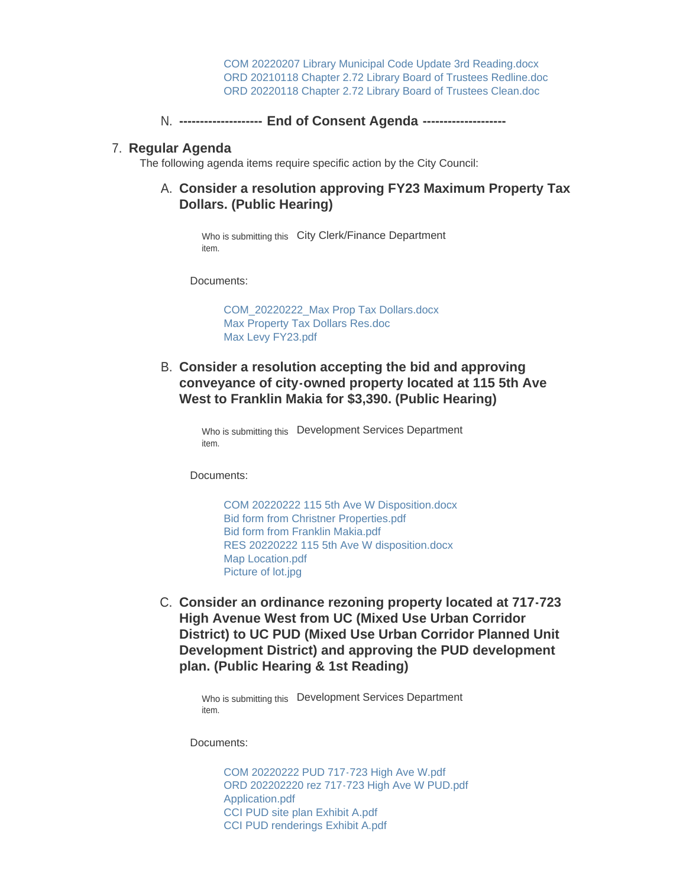[COM 20220207 Library Municipal Code Update 3rd Reading.docx](https://www.oskaloosaiowa.org/AgendaCenter/ViewFile/Item/9819?fileID=26028) [ORD 20210118 Chapter 2.72 Library Board of Trustees Redline.doc](https://www.oskaloosaiowa.org/AgendaCenter/ViewFile/Item/9819?fileID=25969) [ORD 20220118 Chapter 2.72 Library Board of Trustees Clean.doc](https://www.oskaloosaiowa.org/AgendaCenter/ViewFile/Item/9819?fileID=25970)

**-------------------- End of Consent Agenda --------------------** N.

### **Regular Agenda** 7.

The following agenda items require specific action by the City Council:

### **Consider a resolution approving FY23 Maximum Property Tax**  A. **Dollars. (Public Hearing)**

Who is submitting this City Clerk/Finance Department item.

Documents:

[COM\\_20220222\\_Max Prop Tax Dollars.docx](https://www.oskaloosaiowa.org/AgendaCenter/ViewFile/Item/9890?fileID=26133) [Max Property Tax Dollars Res.doc](https://www.oskaloosaiowa.org/AgendaCenter/ViewFile/Item/9890?fileID=26134) [Max Levy FY23.pdf](https://www.oskaloosaiowa.org/AgendaCenter/ViewFile/Item/9890?fileID=26135)

**Consider a resolution accepting the bid and approving**  B. **conveyance of city-owned property located at 115 5th Ave West to Franklin Makia for \$3,390. (Public Hearing)**

> Who is submitting this Development Services Department item.

Documents:

[COM 20220222 115 5th Ave W Disposition.docx](https://www.oskaloosaiowa.org/AgendaCenter/ViewFile/Item/9751?fileID=26099) [Bid form from Christner Properties.pdf](https://www.oskaloosaiowa.org/AgendaCenter/ViewFile/Item/9751?fileID=26097) [Bid form from Franklin Makia.pdf](https://www.oskaloosaiowa.org/AgendaCenter/ViewFile/Item/9751?fileID=26098) [RES 20220222 115 5th Ave W disposition.docx](https://www.oskaloosaiowa.org/AgendaCenter/ViewFile/Item/9751?fileID=26096) [Map Location.pdf](https://www.oskaloosaiowa.org/AgendaCenter/ViewFile/Item/9751?fileID=26100) [Picture of lot.jpg](https://www.oskaloosaiowa.org/AgendaCenter/ViewFile/Item/9751?fileID=26101)

C. Consider an ordinance rezoning property located at 717-723 **High Avenue West from UC (Mixed Use Urban Corridor District) to UC PUD (Mixed Use Urban Corridor Planned Unit Development District) and approving the PUD development plan. (Public Hearing & 1st Reading)**

> Who is submitting this Development Services Department item.

Documents:

[COM 20220222 PUD 717-723 High Ave W.pdf](https://www.oskaloosaiowa.org/AgendaCenter/ViewFile/Item/9756?fileID=26144) [ORD 202202220 rez 717-723 High Ave W PUD.pdf](https://www.oskaloosaiowa.org/AgendaCenter/ViewFile/Item/9756?fileID=26113) [Application.pdf](https://www.oskaloosaiowa.org/AgendaCenter/ViewFile/Item/9756?fileID=26115) [CCI PUD site plan Exhibit A.pdf](https://www.oskaloosaiowa.org/AgendaCenter/ViewFile/Item/9756?fileID=26111) [CCI PUD renderings Exhibit A.pdf](https://www.oskaloosaiowa.org/AgendaCenter/ViewFile/Item/9756?fileID=26110)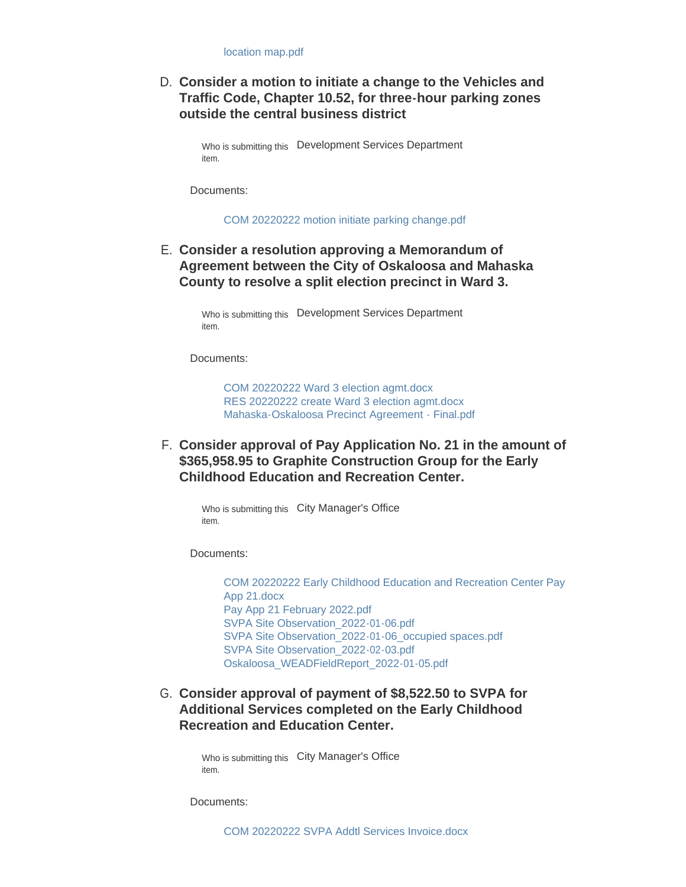### **Consider a motion to initiate a change to the Vehicles and**  D. **Traffic Code, Chapter 10.52, for three-hour parking zones outside the central business district**

Who is submitting this Development Services Department item.

Documents:

[COM 20220222 motion initiate parking change.pdf](https://www.oskaloosaiowa.org/AgendaCenter/ViewFile/Item/9915?fileID=26145)

### **Consider a resolution approving a Memorandum of**  E. **Agreement between the City of Oskaloosa and Mahaska County to resolve a split election precinct in Ward 3.**

Who is submitting this Development Services Department item.

Documents:

[COM 20220222 Ward 3 election agmt.docx](https://www.oskaloosaiowa.org/AgendaCenter/ViewFile/Item/9914?fileID=26141) [RES 20220222 create Ward 3 election agmt.docx](https://www.oskaloosaiowa.org/AgendaCenter/ViewFile/Item/9914?fileID=26143) [Mahaska-Oskaloosa Precinct Agreement - Final.pdf](https://www.oskaloosaiowa.org/AgendaCenter/ViewFile/Item/9914?fileID=26142)

**Consider approval of Pay Application No. 21 in the amount of**  F. **\$365,958.95 to Graphite Construction Group for the Early Childhood Education and Recreation Center.** 

Who is submitting this City Manager's Office item.

Documents:

[COM 20220222 Early Childhood Education and Recreation Center Pay](https://www.oskaloosaiowa.org/AgendaCenter/ViewFile/Item/9854?fileID=26150)  App 21.docx [Pay App 21 February 2022.pdf](https://www.oskaloosaiowa.org/AgendaCenter/ViewFile/Item/9854?fileID=26151) [SVPA Site Observation\\_2022-01-06.pdf](https://www.oskaloosaiowa.org/AgendaCenter/ViewFile/Item/9854?fileID=26152) SVPA Site Observation 2022-01-06 occupied spaces.pdf [SVPA Site Observation\\_2022-02-03.pdf](https://www.oskaloosaiowa.org/AgendaCenter/ViewFile/Item/9854?fileID=26154) [Oskaloosa\\_WEADFieldReport\\_2022-01-05.pdf](https://www.oskaloosaiowa.org/AgendaCenter/ViewFile/Item/9854?fileID=26155)

G. Consider approval of payment of \$8,522.50 to SVPA for **Additional Services completed on the Early Childhood Recreation and Education Center.** 

> Who is submitting this City Manager's Office item.

Documents: